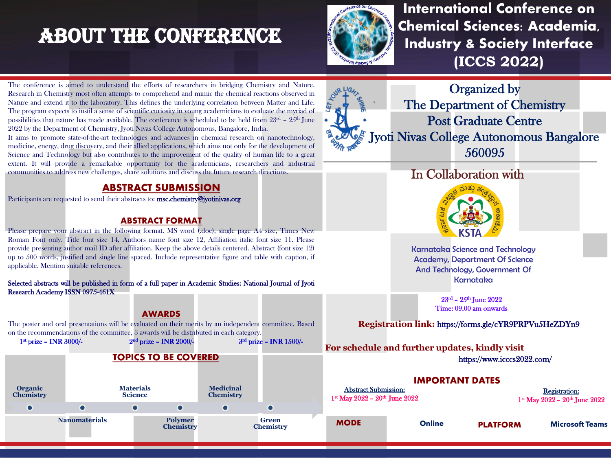# ABOUT THE CONFERENCE



International Conference on Chemical Sciences: Academia, Industry & Society Interface **(ICCS 2022)** 

The conference is aimed to understand the efforts of researchers in bridging Chemistry and Nature. Research in Chemistry most often attempts to comprehend and mimic the chemical reactions observed in Nature and extend it to the laboratory. This defines the underlying correlation between Matter and Life. The program expects to instil a sense of scientific curiosity in young academicians to evaluate the myriad of possibilities that nature has made available. The conference is scheduled to be held from  $23<sup>rd</sup>$  –  $25<sup>th</sup>$  June 2022 by the Department of Chemistry, Jyoti Nivas College Autonomous, Bangalore, India.

It aims to promote state-of-the-art technologies and advances in chemical research on nanotechnology, medicine, energy, drug discovery, and their allied applications, which aims not only for the development of Science and Technology but also contributes to the improvement of the quality of human life to a great extent. It will provide a remarkable opportunity for the academicians, researchers and industrial communities to address new challenges, share solutions and discuss the future research directions.



Participants are requested to send their abstracts to: msc.chemistry@jyotinivas.org

#### ABSTRACT FORMAT

Please prepare your abstract in the following format. MS word (.doc), single page A4 size, Times New Roman Font only. Title font size 14, Authors name font size 12, Affiliation italic font size 11. Please provide presenting author mail ID after affiliation. Keep the above details centered. Abstract (font size 12) up to 500 words, justified and single line spaced. Include representative figure and table with caption, if applicable. Mention suitable references.

Selected abstracts will be published in form of a full paper in Academic Studies: National Journal of Jyoti Research Academy ISSN 0975-461X

## AWARDS

The poster and oral presentations will be evaluated on their merits by an independent committee. Based on the recommendations of the committee, 3 awards will be distributed in each category.





## In Collaboration with



Karnataka Science and Technology Academy, Department Of Science And Technology, Government Of Karnataka

> $23<sup>rd</sup> - 25<sup>th</sup>$  June 2022 Time: 09.00 am onwards

**Registration link:** https://forms.gle/cYR9PRPVu5HeZDYn9

**For schedule and further updates, kindly visit** 

https://www.icccs2022.com/

### **IMPORTANT DATES**

Abstract Submission: 1<sup>st</sup> May 2022 - 20<sup>th</sup> June 2022 Registration:

1st May 2022 - 20th June 2022

**MODE Online PLATFORM Microsoft Teams**